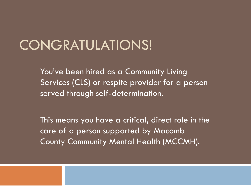#### CONGRATULATIONS!

You've been hired as a Community Living Services (CLS) or respite provider for a person served through self-determination.

This means you have a critical, direct role in the care of a person supported by Macomb County Community Mental Health (MCCMH).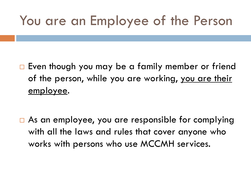#### You are an Employee of the Person

 $\Box$  Even though you may be a family member or friend of the person, while you are working, you are their employee.

□ As an employee, you are responsible for complying with all the laws and rules that cover anyone who works with persons who use MCCMH services.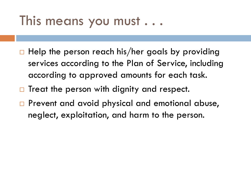#### This means you must . . .

- $\Box$  Help the person reach his/her goals by providing services according to the Plan of Service, including according to approved amounts for each task.
- $\Box$  Treat the person with dignity and respect.
- **Prevent and avoid physical and emotional abuse,** neglect, exploitation, and harm to the person.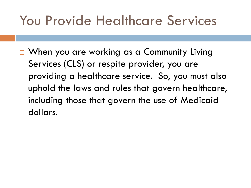#### You Provide Healthcare Services

□ When you are working as a Community Living Services (CLS) or respite provider, you are providing a healthcare service. So, you must also uphold the laws and rules that govern healthcare, including those that govern the use of Medicaid dollars.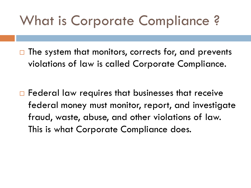#### What is Corporate Compliance ?

 $\Box$  The system that monitors, corrects for, and prevents violations of law is called Corporate Compliance.

 $\Box$  Federal law requires that businesses that receive federal money must monitor, report, and investigate fraud, waste, abuse, and other violations of law. This is what Corporate Compliance does.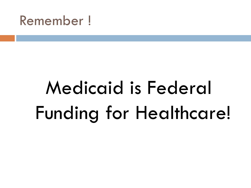#### Remember !

# Medicaid is Federal Funding for Healthcare!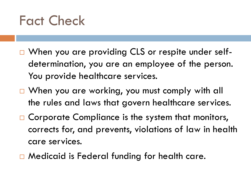#### Fact Check

- □ When you are providing CLS or respite under selfdetermination, you are an employee of the person. You provide healthcare services.
- □ When you are working, you must comply with all the rules and laws that govern healthcare services.
- $\Box$  Corporate Compliance is the system that monitors, corrects for, and prevents, violations of law in health care services.
- □ Medicaid is Federal funding for health care.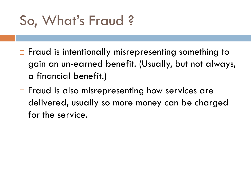## So, What's Fraud ?

- $\Box$  Fraud is intentionally misrepresenting something to gain an un-earned benefit. (Usually, but not always, a financial benefit.)
- $\Box$  Fraud is also misrepresenting how services are delivered, usually so more money can be charged for the service.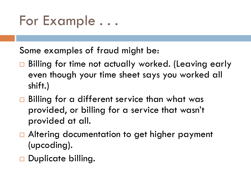#### For Example . . .

Some examples of fraud might be:

- □ Billing for time not actually worked. (Leaving early even though your time sheet says you worked all shift.)
- $\Box$  Billing for a different service than what was provided, or billing for a service that wasn't provided at all.
- □ Altering documentation to get higher payment (upcoding).
- Duplicate billing.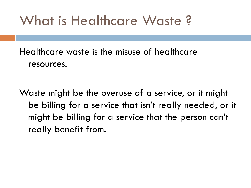#### What is Healthcare Waste ?

Healthcare waste is the misuse of healthcare resources.

Waste might be the overuse of a service, or it might be billing for a service that isn't really needed, or it might be billing for a service that the person can't really benefit from.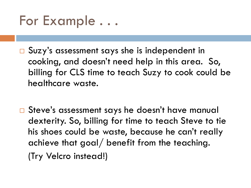

- □ Suzy's assessment says she is independent in cooking, and doesn't need help in this area. So, billing for CLS time to teach Suzy to cook could be healthcare waste.
- □ Steve's assessment says he doesn't have manual dexterity. So, billing for time to teach Steve to tie his shoes could be waste, because he can't really achieve that goal/ benefit from the teaching. (Try Velcro instead!)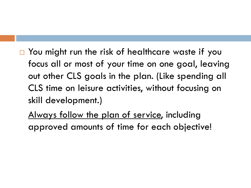□ You might run the risk of healthcare waste if you focus all or most of your time on one goal, leaving out other CLS goals in the plan. (Like spending all CLS time on leisure activities, without focusing on skill development.)

Always follow the plan of service, including approved amounts of time for each objective!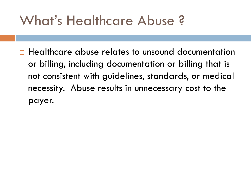#### What's Healthcare Abuse ?

 Healthcare abuse relates to unsound documentation or billing, including documentation or billing that is not consistent with guidelines, standards, or medical necessity. Abuse results in unnecessary cost to the payer.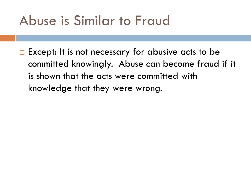#### Abuse is Similar to Fraud

 $\Box$  Except: It is not necessary for abusive acts to be committed knowingly. Abuse can become fraud if it is shown that the acts were committed with knowledge that they were wrong.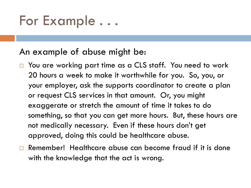#### For Example . . .

#### An example of abuse might be:

- You are working part time as a CLS staff. You need to work 20 hours a week to make it worthwhile for you. So, you, or your employer, ask the supports coordinator to create a plan or request CLS services in that amount. Or, you might exaggerate or stretch the amount of time it takes to do something, so that you can get more hours. But, these hours are not medically necessary. Even if these hours don't get approved, doing this could be healthcare abuse.
- Remember! Healthcare abuse can become fraud if it is done with the knowledge that the act is wrong.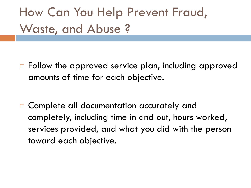#### How Can You Help Prevent Fraud, Waste, and Abuse ?

- □ Follow the approved service plan, including approved amounts of time for each objective.
- □ Complete all documentation accurately and completely, including time in and out, hours worked, services provided, and what you did with the person toward each objective.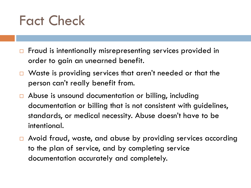#### Fact Check

- □ Fraud is intentionally misrepresenting services provided in order to gain an unearned benefit.
- Waste is providing services that aren't needed or that the person can't really benefit from.
- Abuse is unsound documentation or billing, including documentation or billing that is not consistent with guidelines, standards, or medical necessity. Abuse doesn't have to be intentional.
- □ Avoid fraud, waste, and abuse by providing services according to the plan of service, and by completing service documentation accurately and completely.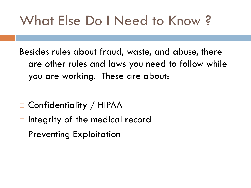### What Else Do I Need to Know ?

Besides rules about fraud, waste, and abuse, there are other rules and laws you need to follow while you are working. These are about:

- □ Confidentiality / HIPAA
- $\Box$  Integrity of the medical record
- □ Preventing Exploitation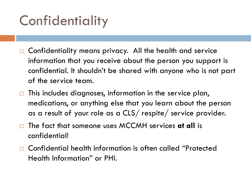# **Confidentiality**

- Confidentiality means privacy. All the health and service information that you receive about the person you support is confidential. It shouldn't be shared with anyone who is not part of the service team.
- $\Box$  This includes diagnoses, information in the service plan, medications, or anything else that you learn about the person as a result of your role as a CLS/ respite/ service provider.
- □ The fact that someone uses MCCMH services **at all** is confidential!
- Confidential health information is often called "Protected Health Information" or PHI.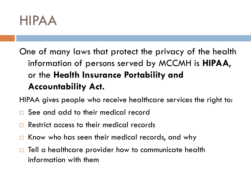

#### One of many laws that protect the privacy of the health information of persons served by MCCMH is **HIPAA**, or the **Health Insurance Portability and Accountability Act.**

HIPAA gives people who receive healthcare services the right to:

- See and add to their medical record
- Restrict access to their medical records
- $\Box$  Know who has seen their medical records, and why
- $\Box$  Tell a healthcare provider how to communicate health information with them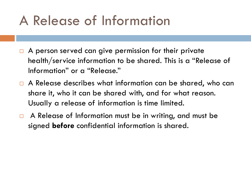#### A Release of Information

- $\Box$  A person served can give permission for their private health/service information to be shared. This is a "Release of Information" or a "Release."
- □ A Release describes what information can be shared, who can share it, who it can be shared with, and for what reason. Usually a release of information is time limited.
- $\Box$  A Release of Information must be in writing, and must be signed **before** confidential information is shared.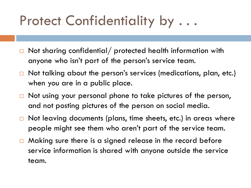#### Protect Confidentiality by . . .

- $\Box$  Not sharing confidential/ protected health information with anyone who isn't part of the person's service team.
- $\Box$  Not talking about the person's services (medications, plan, etc.) when you are in a public place.
- $\Box$  Not using your personal phone to take pictures of the person, and not posting pictures of the person on social media.
- $\Box$  Not leaving documents (plans, time sheets, etc.) in areas where people might see them who aren't part of the service team.
- $\Box$  Making sure there is a signed release in the record before service information is shared with anyone outside the service team.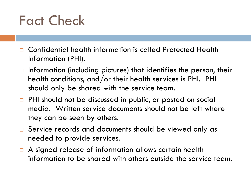#### Fact Check

- Confidential health information is called Protected Health Information (PHI).
- $\Box$  Information (including pictures) that identifies the person, their health conditions, and/or their health services is PHI. PHI should only be shared with the service team.
- □ PHI should not be discussed in public, or posted on social media. Written service documents should not be left where they can be seen by others.
- □ Service records and documents should be viewed only as needed to provide services.
- □ A signed release of information allows certain health information to be shared with others outside the service team.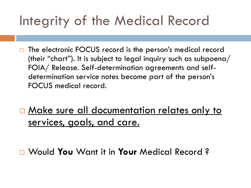# Integrity of the Medical Record

- The electronic FOCUS record is the person's medical record (their "chart"). It is subject to legal inquiry such as subpoena/ FOIA/ Release. Self-determination agreements and selfdetermination service notes become part of the person's FOCUS medical record.
- □ Make sure all documentation relates only to services, goals, and care.

Would **You** Want it in **Your** Medical Record ?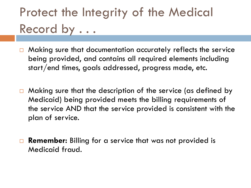#### Protect the Integrity of the Medical Record by . . .

- Making sure that documentation accurately reflects the service being provided, and contains all required elements including start/end times, goals addressed, progress made, etc.
- $\Box$  Making sure that the description of the service (as defined by Medicaid) being provided meets the billing requirements of the service AND that the service provided is consistent with the plan of service.
- **□ Remember:** Billing for a service that was not provided is Medicaid fraud.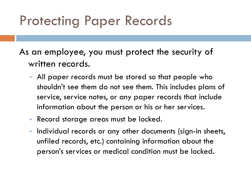#### Protecting Paper Records

As an employee, you must protect the security of written records.

- All paper records must be stored so that people who shouldn't see them do not see them. This includes plans of service, service notes, or any paper records that include information about the person or his or her services.
- Record storage areas must be locked.
- Individual records or any other documents (sign-in sheets, unfiled records, etc.) containing information about the person's services or medical condition must be locked.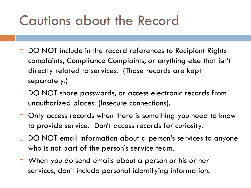#### Cautions about the Record

- DO NOT include in the record references to Recipient Rights complaints, Compliance Complaints, or anything else that isn't directly related to services. (Those records are kept separately.)
- □ DO NOT share passwords, or access electronic records from unauthorized places. (Insecure connections).
- $\Box$  Only access records when there is something you need to know to provide service. Don't access records for curiosity.
- DO NOT email information about a person's services to anyone who is not part of the person's service team.
- When you do send emails about a person or his or her services, don't include personal identifying information.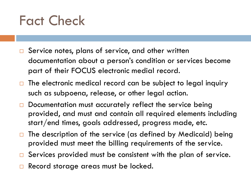#### Fact Check

- $\square$  Service notes, plans of service, and other written documentation about a person's condition or services become part of their FOCUS electronic medial record.
- $\Box$  The electronic medical record can be subject to legal inquiry such as subpoena, release, or other legal action.
- Documentation must accurately reflect the service being provided, and must and contain all required elements including start/end times, goals addressed, progress made, etc.
- $\Box$  The description of the service (as defined by Medicaid) being provided must meet the billing requirements of the service.
- $\square$  Services provided must be consistent with the plan of service.
- Record storage areas must be locked.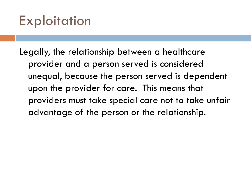#### Exploitation

Legally, the relationship between a healthcare provider and a person served is considered unequal, because the person served is dependent upon the provider for care. This means that providers must take special care not to take unfair advantage of the person or the relationship.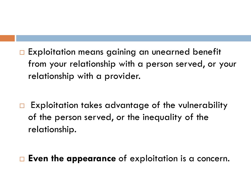□ Exploitation means gaining an unearned benefit from your relationship with a person served, or your relationship with a provider.

- $\Box$  Exploitation takes advantage of the vulnerability of the person served, or the inequality of the relationship.
- **Even the appearance** of exploitation is a concern.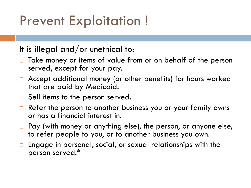#### Prevent Exploitation !

It is illegal and/or unethical to:

- Take money or items of value from or on behalf of the person served, except for your pay.
- □ Accept additional money (or other benefits) for hours worked that are paid by Medicaid.
- $\Box$  Sell items to the person served.
- Refer the person to another business you or your family owns or has a financial interest in.
- □ Pay (with money or anything else), the person, or anyone else, to refer people to you, or to another business you own.
- $\Box$  Engage in personal, social, or sexual relationships with the person served.\*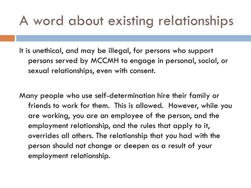#### A word about existing relationships

It is unethical, and may be illegal, for persons who support persons served by MCCMH to engage in personal, social, or sexual relationships, even with consent.

Many people who use self-determination hire their family or friends to work for them. This is allowed. However, while you are working, you are an employee of the person, and the employment relationship, and the rules that apply to it, overrides all others. The relationship that you had with the person should not change or deepen as a result of your employment relationship.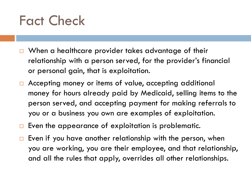#### Fact Check

- When a healthcare provider takes advantage of their relationship with a person served, for the provider's financial or personal gain, that is exploitation.
- □ Accepting money or items of value, accepting additional money for hours already paid by Medicaid, selling items to the person served, and accepting payment for making referrals to you or a business you own are examples of exploitation.
- $\Box$  Even the appearance of exploitation is problematic.
- $\Box$  Even if you have another relationship with the person, when you are working, you are their employee, and that relationship, and all the rules that apply, overrides all other relationships.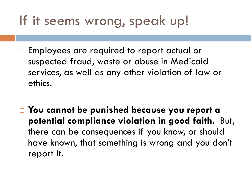#### If it seems wrong, speak up!

- □ Employees are required to report actual or suspected fraud, waste or abuse in Medicaid services, as well as any other violation of law or ethics.
- **You cannot be punished because you report a potential compliance violation in good faith.** But, there can be consequences if you know, or should have known, that something is wrong and you don't report it.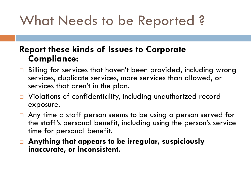## What Needs to be Reported ?

#### **Report these kinds of Issues to Corporate Compliance:**

- Billing for services that haven't been provided, including wrong services, duplicate services, more services than allowed, or services that aren't in the plan.
- □ Violations of confidentiality, including unauthorized record exposure.
- $\Box$  Any time a staff person seems to be using a person served for the staff's personal benefit, including using the person's service time for personal benefit.
- **Anything that appears to be irregular, suspiciously inaccurate, or inconsistent.**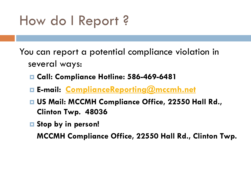#### How do I Report ?

You can report a potential compliance violation in several ways:

- **Call: Compliance Hotline: 586-469-6481**
- **E-mail: [ComplianceReporting@mccmh.net](mailto:ComplianceReporting@mccmh.net)**
- **US Mail: MCCMH Compliance Office, 22550 Hall Rd., Clinton Twp. 48036**
- **Stop by in person!**

**MCCMH Compliance Office, 22550 Hall Rd., Clinton Twp.**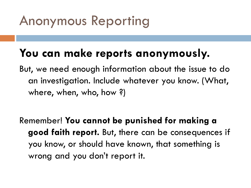### Anonymous Reporting

#### **You can make reports anonymously.**

But, we need enough information about the issue to do an investigation. Include whatever you know. (What, where, when, who, how ?)

Remember! **You cannot be punished for making a good faith report.** But, there can be consequences if you know, or should have known, that something is wrong and you don't report it.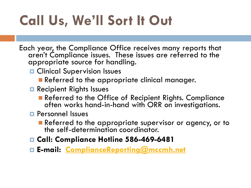# **Call Us, We'll Sort It Out**

Each year, the Compliance Office receives many reports that aren't Compliance issues. These issues are referred to the appropriate source for handling.

- **D** Clinical Supervision Issues
	- Referred to the appropriate clinical manager.
- **Recipient Rights Issues** 
	- Referred to the Office of Recipient Rights. Compliance often works hand-in-hand with ORR on investigations.
- **Personnel Issues** 
	- Referred to the appropriate supervisor or agency, or to the self-determination coordinator.
- **Call: Compliance Hotline 586-469-6481**
- **E-mail: [ComplianceReporting@mccmh.net](mailto:ComplianceReporting@mccmh.net)**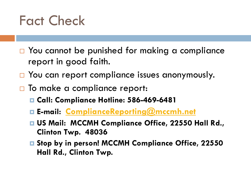#### Fact Check

- □ You cannot be punished for making a compliance report in good faith.
- □ You can report compliance issues anonymously.
- $\Box$  To make a compliance report:
	- **Call: Compliance Hotline: 586-469-6481**
	- **E-mail: [ComplianceReporting@mccmh.net](mailto:ComplianceReporting@mccmh.net)**
	- **US Mail: MCCMH Compliance Office, 22550 Hall Rd., Clinton Twp. 48036**
	- **Stop by in person! MCCMH Compliance Office, 22550 Hall Rd., Clinton Twp.**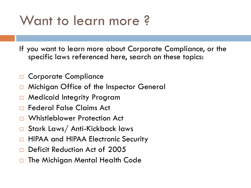#### Want to learn more ?

If you want to learn more about Corporate Compliance, or the specific laws referenced here, search on these topics:

- Corporate Compliance
- Michigan Office of the Inspector General
- Medicaid Integrity Program
- Federal False Claims Act
- Whistleblower Protection Act
- Stark Laws/ Anti-Kickback laws
- HIPAA and HIPAA Electronic Security
- Deficit Reduction Act of 2005
- The Michigan Mental Health Code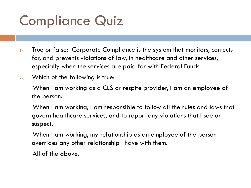## Compliance Quiz

- 1) True or false: Corporate Compliance is the system that monitors, corrects for, and prevents violations of law, in healthcare and other services, especially when the services are paid for with Federal Funds.
- 2) Which of the following is true:

 When I am working as a CLS or respite provider, I am an employee of the person.

 When I am working, I am responsible to follow all the rules and laws that govern healthcare services, and to report any violations that I see or suspect.

 When I am working, my relationship as an employee of the person overrides any other relationship I have with them.

All of the above.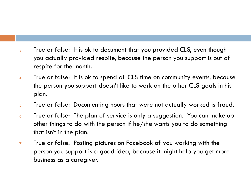- 3. True or false: It is ok to document that you provided CLS, even though you actually provided respite, because the person you support is out of respite for the month.
- 4. True or false: It is ok to spend all CLS time on community events, because the person you support doesn't like to work on the other CLS goals in his plan.
- 5. True or false: Documenting hours that were not actually worked is fraud.
- 6. True or false: The plan of service is only a suggestion. You can make up other things to do with the person if he/she wants you to do something that isn't in the plan.
- 7. True or false: Posting pictures on Facebook of you working with the person you support is a good idea, because it might help you get more business as a caregiver.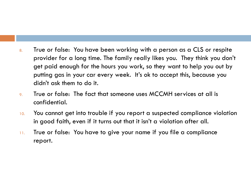- 8. True or false: You have been working with a person as a CLS or respite provider for a long time. The family really likes you. They think you don't get paid enough for the hours you work, so they want to help you out by putting gas in your car every week. It's ok to accept this, because you didn't ask them to do it.
- 9. True or false: The fact that someone uses MCCMH services at all is confidential.
- 10. You cannot get into trouble if you report a suspected compliance violation in good faith, even if it turns out that it isn't a violation after all.
- 11. True or false: You have to give your name if you file a compliance report.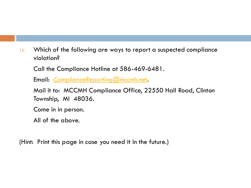12. Which of the following are ways to report a suspected compliance violation?

Call the Compliance Hotline at 586-469-6481.

Email: [ComplianceReporting@mccmh.net](mailto:ComplianceReporting@mccmh.net).

 Mail it to: MCCMH Compliance Office, 22550 Hall Road, Clinton Township, MI 48036.

Come in in person.

All of the above.

(Hint: Print this page in case you need it in the future.)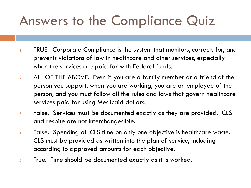## Answers to the Compliance Quiz

- 1. TRUE. Corporate Compliance is the system that monitors, corrects for, and prevents violations of law in healthcare and other services, especially when the services are paid for with Federal funds.
- 2. ALL OF THE ABOVE. Even if you are a family member or a friend of the person you support, when you are working, you are an employee of the person, and you must follow all the rules and laws that govern healthcare services paid for using Medicaid dollars.
- 3. False. Services must be documented exactly as they are provided. CLS and respite are not interchangeable.
- 4. False. Spending all CLS time on only one objective is healthcare waste. CLS must be provided as written into the plan of service, including according to approved amounts for each objective.
- 5. True. Time should be documented exactly as it is worked.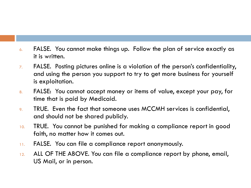- 6. FALSE. You cannot make things up. Follow the plan of service exactly as it is written.
- 7. FALSE. Posting pictures online is a violation of the person's confidentiality, and using the person you support to try to get more business for yourself is exploitation.
- 8. FALSE: You cannot accept money or items of value, except your pay, for time that is paid by Medicaid.
- 9. TRUE. Even the fact that someone uses MCCMH services is confidential, and should not be shared publicly.
- 10. TRUE. You cannot be punished for making a compliance report in good faith, no matter how it comes out.
- 11. FALSE. You can file a compliance report anonymously.
- 12. ALL OF THE ABOVE. You can file a compliance report by phone, email, US Mail, or in person.